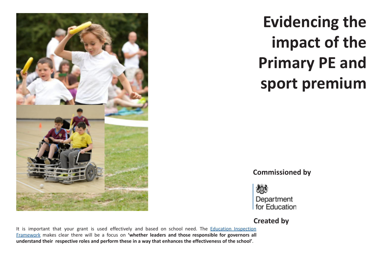

**Evidencing the impact of the Primary PE and sport premium**

**Commissioned by**



## **Created by**

It is important that your grant is used effectively and based on school need. The Education Inspection Framework makes clear there will be a focus on **'whether leaders and those responsible for governors all understand their respective roles and perform these in a way that enhances the effectiveness of the school'**.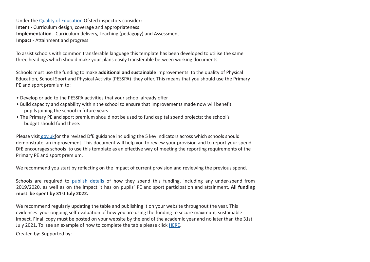Under the Quality of Education Ofsted inspectors consider: **Intent** - Curriculum design, coverage and appropriateness **Implementation** - Curriculum delivery, Teaching (pedagogy) and Assessment **Impact** - Attainment and progress

To assist schools with common transferable language this template has been developed to utilise the same three headings which should make your plans easily transferable between working documents.

Schools must use the funding to make **additional and sustainable** improvements to the quality of Physical Education, School Sport and Physical Activity (PESSPA) they offer. This means that you should use the Primary PE and sport premium to:

- Develop or add to the PESSPA activities that your school already offer
- Build capacity and capability within the school to ensure that improvements made now will benefit pupils joining the school in future years
- The Primary PE and sport premium should not be used to fund capital spend projects; the school's budget should fund these.

Please visit gov.ukfor the revised DfE guidance including the 5 key indicators across which schools should demonstrate an improvement. This document will help you to review your provision and to report your spend. DfE encourages schools to use this template as an effective way of meeting the reporting requirements of the Primary PE and sport premium.

We recommend you start by reflecting on the impact of current provision and reviewing the previous spend.

Schools are required to publish details of how they spend this funding, including any under-spend from 2019/2020, as well as on the impact it has on pupils' PE and sport participation and attainment. **All funding must be spent by 31st July 2022.**

We recommend regularly updating the table and publishing it on your website throughout the year. This evidences your ongoing self-evaluation of how you are using the funding to secure maximum, sustainable impact. Final copy must be posted on your website by the end of the academic year and no later than the 31st July 2021. To see an example of how to complete the table please click HERE.

Created by: Supported by: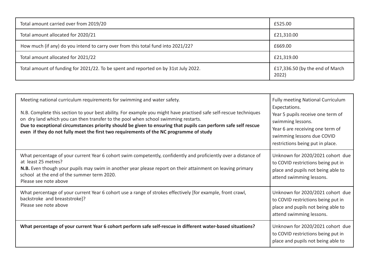| Total amount carried over from 2019/20                                              | £525.00                                  |
|-------------------------------------------------------------------------------------|------------------------------------------|
| Total amount allocated for 2020/21                                                  | £21,310.00                               |
| How much (if any) do you intend to carry over from this total fund into 2021/22?    | £669.00                                  |
| Total amount allocated for 2021/22                                                  | £21,319.00                               |
| Total amount of funding for 2021/22. To be spent and reported on by 31st July 2022. | £17,336.50 (by the end of March<br>2022) |

**Swimming Data**Please report on your Swimming Data below.

| Meeting national curriculum requirements for swimming and water safety.<br>N.B. Complete this section to your best ability. For example you might have practised safe self-rescue techniques<br>on dry land which you can then transfer to the pool when school swimming restarts.<br>Due to exceptional circumstances priority should be given to ensuring that pupils can perform safe self rescue<br>even if they do not fully meet the first two requirements of the NC programme of study | Fully meeting National Curriculum<br>Expectations.<br>Year 5 pupils receive one term of<br>swimming lessons.<br>Year 6 are receiving one term of<br>swimming lessons due COVID<br>restrictions being put in place. |
|------------------------------------------------------------------------------------------------------------------------------------------------------------------------------------------------------------------------------------------------------------------------------------------------------------------------------------------------------------------------------------------------------------------------------------------------------------------------------------------------|--------------------------------------------------------------------------------------------------------------------------------------------------------------------------------------------------------------------|
| What percentage of your current Year 6 cohort swim competently, confidently and proficiently over a distance of<br>at least 25 metres?<br>N.B. Even though your pupils may swim in another year please report on their attainment on leaving primary<br>school at the end of the summer term 2020.<br>Please see note above                                                                                                                                                                    | Unknown for 2020/2021 cohort due<br>to COVID restrictions being put in<br>place and pupils not being able to<br>attend swimming lessons.                                                                           |
| What percentage of your current Year 6 cohort use a range of strokes effectively [for example, front crawl,<br>backstroke and breaststroke]?<br>Please see note above                                                                                                                                                                                                                                                                                                                          | Unknown for 2020/2021 cohort due<br>to COVID restrictions being put in<br>place and pupils not being able to<br>attend swimming lessons.                                                                           |
| What percentage of your current Year 6 cohort perform safe self-rescue in different water-based situations?                                                                                                                                                                                                                                                                                                                                                                                    | Unknown for 2020/2021 cohort due<br>to COVID restrictions being put in<br>place and pupils not being able to                                                                                                       |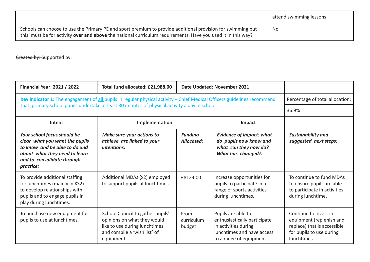|                                                                                                                                                                                                                             | attend swimming lessons. |
|-----------------------------------------------------------------------------------------------------------------------------------------------------------------------------------------------------------------------------|--------------------------|
| Schools can choose to use the Primary PE and sport premium to provide additional provision for swimming but<br>this must be for activity over and above the national curriculum requirements. Have you used it in this way? | No                       |

Ereated by: Supported by:

| <b>Financial Year: 2021 / 2022</b>                                                                                                                                         | Total fund allocated: £21,988.00                                                                                                               |                              | Date Updated: November 2021                                                                                                          |                                                                                                                             |
|----------------------------------------------------------------------------------------------------------------------------------------------------------------------------|------------------------------------------------------------------------------------------------------------------------------------------------|------------------------------|--------------------------------------------------------------------------------------------------------------------------------------|-----------------------------------------------------------------------------------------------------------------------------|
| Key indicator 1: The engagement of all pupils in regular physical activity - Chief Medical Officers guidelines recommend                                                   | Percentage of total allocation:                                                                                                                |                              |                                                                                                                                      |                                                                                                                             |
|                                                                                                                                                                            | that primary school pupils undertake at least 30 minutes of physical activity a day in school                                                  |                              |                                                                                                                                      | 36.9%                                                                                                                       |
| Intent                                                                                                                                                                     | Implementation                                                                                                                                 |                              | Impact                                                                                                                               |                                                                                                                             |
| Your school focus should be<br>clear what you want the pupils<br>to know and be able to do and<br>about what they need to learn<br>and to consolidate through<br>practice: | Make sure your actions to<br>achieve are linked to your<br><i>intentions:</i>                                                                  | <b>Funding</b><br>Allocated: | <b>Evidence of impact: what</b><br>do pupils now know and<br>what can they now do?<br>What has changed?:                             | <b>Sustainability and</b><br>suggested next steps:                                                                          |
| To provide additional staffing<br>for lunchtimes (mainly in KS2)<br>to develop relationships with<br>pupils and to engage pupils in<br>play during lunchtimes.             | Additional MDAs (x2) employed<br>to support pupils at lunchtimes.                                                                              | £8124.00                     | Increase opportunities for<br>pupils to participate in a<br>range of sports activities<br>during lunchtimes.                         | To continue to fund MDAs<br>to ensure pupils are able<br>to participate in activities<br>during lunchtime.                  |
| To purchase new equipment for<br>pupils to use at lunchtimes.                                                                                                              | School Council to gather pupils'<br>opinions on what they would<br>like to use during lunchtimes<br>and compile a 'wish list' of<br>equipment. | From<br>curriculum<br>budget | Pupils are able to<br>enthusiastically participate<br>in activities during<br>lunchtimes and have access<br>to a range of equipment. | Continue to invest in<br>equipment (replenish and<br>replace) that is accessible<br>for pupils to use during<br>lunchtimes. |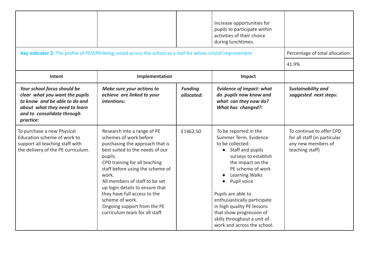|                                                                                                                                                                            | Key indicator 2: The profile of PESSPA being raised across the school as a tool for whole school improvement                                                                                                                                                                                                                                                                                                  |                              | Increase opportunities for<br>pupils to participate within<br>activities of their choice<br>during lunchtimes.                                                                                                                                                                                                                                                                       | Percentage of total allocation:<br>41.9%                                                          |
|----------------------------------------------------------------------------------------------------------------------------------------------------------------------------|---------------------------------------------------------------------------------------------------------------------------------------------------------------------------------------------------------------------------------------------------------------------------------------------------------------------------------------------------------------------------------------------------------------|------------------------------|--------------------------------------------------------------------------------------------------------------------------------------------------------------------------------------------------------------------------------------------------------------------------------------------------------------------------------------------------------------------------------------|---------------------------------------------------------------------------------------------------|
| Intent                                                                                                                                                                     | Implementation                                                                                                                                                                                                                                                                                                                                                                                                |                              | Impact                                                                                                                                                                                                                                                                                                                                                                               |                                                                                                   |
| Your school focus should be<br>clear what you want the pupils<br>to know and be able to do and<br>about what they need to learn<br>and to consolidate through<br>practice: | Make sure your actions to<br>achieve are linked to your<br>intentions:                                                                                                                                                                                                                                                                                                                                        | <b>Funding</b><br>allocated: | <b>Evidence of impact: what</b><br>do pupils now know and<br>what can they now do?<br>What has changed?:                                                                                                                                                                                                                                                                             | <b>Sustainability and</b><br>suggested next steps:                                                |
| To purchase a new Physical<br>Education scheme of work to<br>support all teaching staff with<br>the delivery of the PE curriculum.                                         | Research into a range of PE<br>schemes of work before<br>purchasing the approach that is<br>best suited to the needs of our<br>pupils.<br>CPD training for all teaching<br>staff before using the scheme of<br>work.<br>All members of staff to be set<br>up login details to ensure that<br>they have full access to the<br>scheme of work.<br>Ongoing support from the PE<br>curriculum team for all staff. | £1462.50                     | To be reported in the<br>Summer Term. Evidence<br>to be collected:<br>Staff and pupils<br>$\bullet$<br>surveys to establish<br>the impact on the<br>PE scheme of work<br>Learning Walks<br>Pupil voice<br>Pupils are able to<br>enthusiastically participate<br>in high quality PE lessons<br>that show progression of<br>skills throughout a unit of<br>work and across the school. | To continue to offer CPD<br>for all staff (in particular<br>any new members of<br>teaching staff) |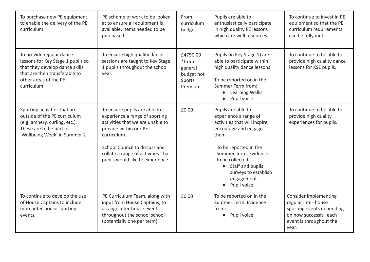| To purchase new PE equipment<br>to enable the delivery of the PE<br>curriculum.                                                                                          | PE scheme of work to be looked<br>at to ensure all equipment is<br>available. Items needed to be<br>purchased.                                                                                                                                        | From<br>curriculum<br>budget                                    | Pupils are able to<br>enthusiastically participate<br>in high quality PE lessons<br>which are well resources.                                                                                                                                                  | To continue to invest in PE<br>equipment so that the PE<br>curriculum requirements<br>can be fully met.                                 |
|--------------------------------------------------------------------------------------------------------------------------------------------------------------------------|-------------------------------------------------------------------------------------------------------------------------------------------------------------------------------------------------------------------------------------------------------|-----------------------------------------------------------------|----------------------------------------------------------------------------------------------------------------------------------------------------------------------------------------------------------------------------------------------------------------|-----------------------------------------------------------------------------------------------------------------------------------------|
| To provide regular dance<br>lessons for Key Stage 1 pupils so<br>that they develop dance skills<br>that are then transferable to<br>other areas of the PE<br>curriculum. | To ensure high quality dance<br>sessions are taught to Key Stage<br>1 pupils throughout the school<br>year.                                                                                                                                           | £4750.00<br>*from<br>general<br>budget not<br>Sports<br>Premium | Pupils (in Key Stage 1) are<br>able to participate within<br>high quality dance lessons.<br>To be reported on in the<br>Summer Term from:<br>• Learning Walks<br>Pupil voice                                                                                   | To continue to be able to<br>provide high quality dance<br>lessons for KS1 pupils.                                                      |
| Sporting activities that are<br>outside of the PE curriculum<br>(e.g. archery, curling, etc.).<br>These are to be part of<br>'Wellbeing Week' in Summer 2                | To ensure pupils are able to<br>experience a range of sporting<br>activities that we are unable to<br>provide within our PE<br>curriculum.<br>School Council to discuss and<br>collate a range of activities that<br>pupils would like to experience. | £0.00                                                           | Pupils are able to<br>experience a range of<br>activities that will inspire,<br>encourage and engage<br>them.<br>To be reported in the<br>Summer Term. Evidence<br>to be collected:<br>• Staff and pupils<br>surveys to establish<br>engagement<br>Pupil voice | To continue to be able to<br>provide high quality<br>experiences for pupils.                                                            |
| To continue to develop the use<br>of House Captains to include<br>more inter-house sporting<br>events.                                                                   | PE Curriculum Team, along with<br>input from House Captains, to<br>arrange inter-house events<br>throughout the school school<br>(potentially one per term).                                                                                          | £0.00                                                           | To be reported on in the<br>Summer Term. Evidence<br>from:<br>Pupil voice                                                                                                                                                                                      | Consider implementing<br>regular inter-house<br>sporting events depending<br>on how successful each<br>event is throughout the<br>year. |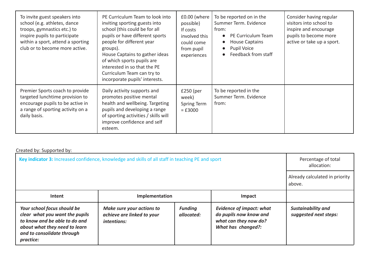| To invite guest speakers into<br>school (e.g. athletes, dance<br>troops, gymnastics etc.) to<br>inspire pupils to participate<br>within a sport, attend a sporting<br>club or to become more active. | PE Curriculum Team to look into<br>inviting sporting guests into<br>school (this could be for all<br>pupils or have different sports<br>people for different year<br>groups).<br>House Captains to gather ideas<br>of which sports pupils are<br>interested in so that the PE<br>Curriculum Team can try to<br>incorporate pupils' interests. | £0.00 (where<br>possible)<br>If costs<br>involved this<br>could come<br>from pupil<br>experiences | To be reported on in the<br>Summer Term. Evidence<br>from:<br>PE Curriculum Team<br><b>House Captains</b><br><b>Pupil Voice</b><br>Feedback from staff | Consider having regular<br>visitors into school to<br>inspire and encourage<br>pupils to become more<br>active or take up a sport. |
|------------------------------------------------------------------------------------------------------------------------------------------------------------------------------------------------------|-----------------------------------------------------------------------------------------------------------------------------------------------------------------------------------------------------------------------------------------------------------------------------------------------------------------------------------------------|---------------------------------------------------------------------------------------------------|--------------------------------------------------------------------------------------------------------------------------------------------------------|------------------------------------------------------------------------------------------------------------------------------------|
| Premier Sports coach to provide<br>targeted lunchtime provision to<br>encourage pupils to be active in<br>a range of sporting activity on a<br>daily basis.                                          | Daily activity supports and<br>promotes positive mental<br>health and wellbeing. Targeting<br>pupils and developing a range<br>of sporting activities / skills will<br>improve confidence and self<br>esteem.                                                                                                                                 | $£250$ (per<br>week)<br>Spring Term<br>$=$ £3000                                                  | To be reported in the<br>Summer Term. Evidence<br>from:                                                                                                |                                                                                                                                    |

## Created by: Supported by:

| Key indicator 3: Increased confidence, knowledge and skills of all staff in teaching PE and sport                                                                          | Percentage of total<br>allocation:                                            |                              |                                                                                                          |                                                    |
|----------------------------------------------------------------------------------------------------------------------------------------------------------------------------|-------------------------------------------------------------------------------|------------------------------|----------------------------------------------------------------------------------------------------------|----------------------------------------------------|
|                                                                                                                                                                            | Already calculated in priority<br>above.                                      |                              |                                                                                                          |                                                    |
| Intent                                                                                                                                                                     | Implementation<br>Impact                                                      |                              |                                                                                                          |                                                    |
| Your school focus should be<br>clear what you want the pupils<br>to know and be able to do and<br>about what they need to learn<br>and to consolidate through<br>practice: | Make sure your actions to<br>achieve are linked to your<br><i>intentions:</i> | <b>Funding</b><br>allocated: | <b>Evidence of impact: what</b><br>do pupils now know and<br>what can they now do?<br>What has changed?: | <b>Sustainability and</b><br>suggested next steps: |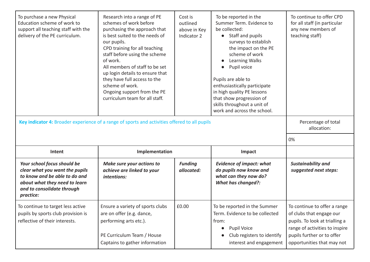| To purchase a new Physical<br>Education scheme of work to<br>support all teaching staff with the<br>delivery of the PE curriculum. | Research into a range of PE<br>schemes of work before<br>purchasing the approach that<br>is best suited to the needs of<br>our pupils.<br>CPD training for all teaching<br>staff before using the scheme<br>of work.<br>All members of staff to be set<br>up login details to ensure that<br>they have full access to the<br>scheme of work.<br>Ongoing support from the PE<br>curriculum team for all staff. | Cost is<br>outlined<br>above in Key<br>Indicator 2 | To be reported in the<br>Summer Term. Evidence to<br>be collected:<br>• Staff and pupils<br>surveys to establish<br>the impact on the PE<br>scheme of work<br>Learning Walks<br>Pupil voice<br>Pupils are able to<br>enthusiastically participate<br>in high quality PE lessons<br>that show progression of<br>skills throughout a unit of<br>work and across the school. | To continue to offer CPD<br>for all staff (in particular<br>any new members of<br>teaching staff) |
|------------------------------------------------------------------------------------------------------------------------------------|---------------------------------------------------------------------------------------------------------------------------------------------------------------------------------------------------------------------------------------------------------------------------------------------------------------------------------------------------------------------------------------------------------------|----------------------------------------------------|---------------------------------------------------------------------------------------------------------------------------------------------------------------------------------------------------------------------------------------------------------------------------------------------------------------------------------------------------------------------------|---------------------------------------------------------------------------------------------------|
| Key indicator 4: Broader experience of a range of sports and activities offered to all pupils                                      | Percentage of total<br>allocation:                                                                                                                                                                                                                                                                                                                                                                            |                                                    |                                                                                                                                                                                                                                                                                                                                                                           |                                                                                                   |
|                                                                                                                                    |                                                                                                                                                                                                                                                                                                                                                                                                               |                                                    |                                                                                                                                                                                                                                                                                                                                                                           | 0%                                                                                                |
| Intent                                                                                                                             | Implementation                                                                                                                                                                                                                                                                                                                                                                                                |                                                    | Impact                                                                                                                                                                                                                                                                                                                                                                    |                                                                                                   |
| Your school focus should be<br>clear what you want the pupils<br>to know and be able to do and                                     | Make sure your actions to<br>achieve are linked to your<br>intentions:                                                                                                                                                                                                                                                                                                                                        | <b>Funding</b><br>allocated:                       | <b>Evidence of impact: what</b><br>do pupils now know and                                                                                                                                                                                                                                                                                                                 | Sustainability and<br>suggested next steps:                                                       |
| about what they need to learn<br>and to consolidate through<br>practice:                                                           |                                                                                                                                                                                                                                                                                                                                                                                                               |                                                    | what can they now do?<br><b>What has changed?:</b>                                                                                                                                                                                                                                                                                                                        |                                                                                                   |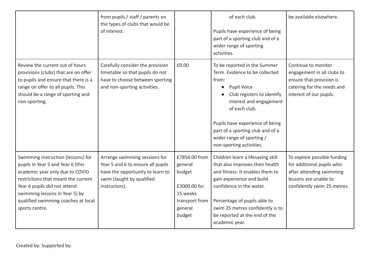|                                                                                                                                                                                                                                                                              | from pupils / staff / parents on<br>the types of clubs that would be<br>of interest.                                                                 |                                                                                                       | of each club.<br>Pupils have experience of being<br>part of a sporting club and of a<br>wider range of sporting<br>activities.                                                                                                                                                                                       | be available elsewhere.                                                                                                                      |
|------------------------------------------------------------------------------------------------------------------------------------------------------------------------------------------------------------------------------------------------------------------------------|------------------------------------------------------------------------------------------------------------------------------------------------------|-------------------------------------------------------------------------------------------------------|----------------------------------------------------------------------------------------------------------------------------------------------------------------------------------------------------------------------------------------------------------------------------------------------------------------------|----------------------------------------------------------------------------------------------------------------------------------------------|
| Review the current out of hours<br>provisions (clubs) that are on offer<br>to pupils and ensure that there is a<br>range on offer to all pupils. This<br>should be a range of sporting and<br>non-sporting.                                                                  | Carefully consider the provision<br>timetable so that pupils do not<br>have to choose between sporting<br>and non-sporting activities.               | £0.00                                                                                                 | To be reported in the Summer<br>Term. Evidence to be collected<br>from:<br><b>Pupil Voice</b><br>$\bullet$<br>Club registers to identify<br>interest and engagement<br>of each club.<br>Pupils have experience of being<br>part of a sporting club and of a<br>wider range of sporting /<br>non-sporting activities. | Continue to monitor<br>engagement in all clubs to<br>ensure that provision is<br>catering for the needs and<br>interest of our pupils.       |
| Swimming instruction (lessons) for<br>pupils in Year 5 and Year 6 (this<br>academic year only due to COVID<br>restrictions that meant the current<br>Year 6 pupils did not attend<br>swimming lessons in Year 5) by<br>qualified swimming coaches at local<br>sports centre. | Arrange swimming sessions for<br>Year 5 and 6 to ensure all pupils<br>have the opportunity to learn to<br>swim (taught by qualified<br>instructors). | £7854.00 from<br>general<br>budget<br>£3000.00 for<br>15 weeks<br>transport from<br>general<br>budget | Children learn a lifesaving skill<br>that also improves their health<br>and fitness. It enables them to<br>gain experience and build<br>confidence in the water.<br>Percentage of pupils able to<br>swim 25 metres confidently is to<br>be reported at the end of the<br>academic year.                              | To explore possible funding<br>for additional pupils who<br>after attending swimming<br>lessons are unable to<br>confidently swim 25 metres. |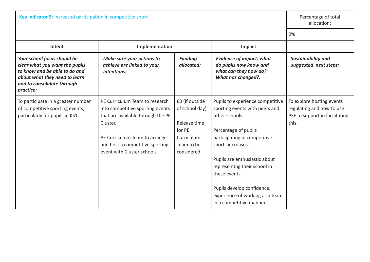| Key indicator 5: Increased participation in competitive sport                                                                                                              |                                                                                                                                                                                                                        |                                                                                                       |                                                                                                                                                                                                                                                                                                                                                  | Percentage of total<br>allocation:                                                                |
|----------------------------------------------------------------------------------------------------------------------------------------------------------------------------|------------------------------------------------------------------------------------------------------------------------------------------------------------------------------------------------------------------------|-------------------------------------------------------------------------------------------------------|--------------------------------------------------------------------------------------------------------------------------------------------------------------------------------------------------------------------------------------------------------------------------------------------------------------------------------------------------|---------------------------------------------------------------------------------------------------|
|                                                                                                                                                                            | 0%                                                                                                                                                                                                                     |                                                                                                       |                                                                                                                                                                                                                                                                                                                                                  |                                                                                                   |
| Intent                                                                                                                                                                     | Implementation<br>Impact                                                                                                                                                                                               |                                                                                                       |                                                                                                                                                                                                                                                                                                                                                  |                                                                                                   |
| Your school focus should be<br>clear what you want the pupils<br>to know and be able to do and<br>about what they need to learn<br>and to consolidate through<br>practice: | Make sure your actions to<br>achieve are linked to your<br>intentions:                                                                                                                                                 | <b>Funding</b><br>allocated:                                                                          | <b>Evidence of impact: what</b><br>do pupils now know and<br>what can they now do?<br><b>What has changed?:</b>                                                                                                                                                                                                                                  | Sustainability and<br>suggested next steps:                                                       |
| To participate in a greater number<br>of competitive sporting events,<br>particularly for pupils in KS1.                                                                   | PE Curriculum Team to research<br>into competitive sporting events<br>that are available through the PE<br>Cluster.<br>PE Curriculum Team to arrange<br>and host a competitive sporting<br>event with Cluster schools. | £0 (if outside<br>of school day)<br>Release time<br>for PE<br>Curriculum<br>Team to be<br>considered. | Pupils to experience competitive<br>sporting events with peers and<br>other schools.<br>Percentage of pupils<br>participating in competitive<br>sports increases.<br>Pupils are enthusiastic about<br>representing their school in<br>these events.<br>Pupils develop confidence,<br>experience of working as a team<br>in a competitive manner. | To explore hosting events<br>regulating and how to use<br>PSF to support in facilitating<br>this. |